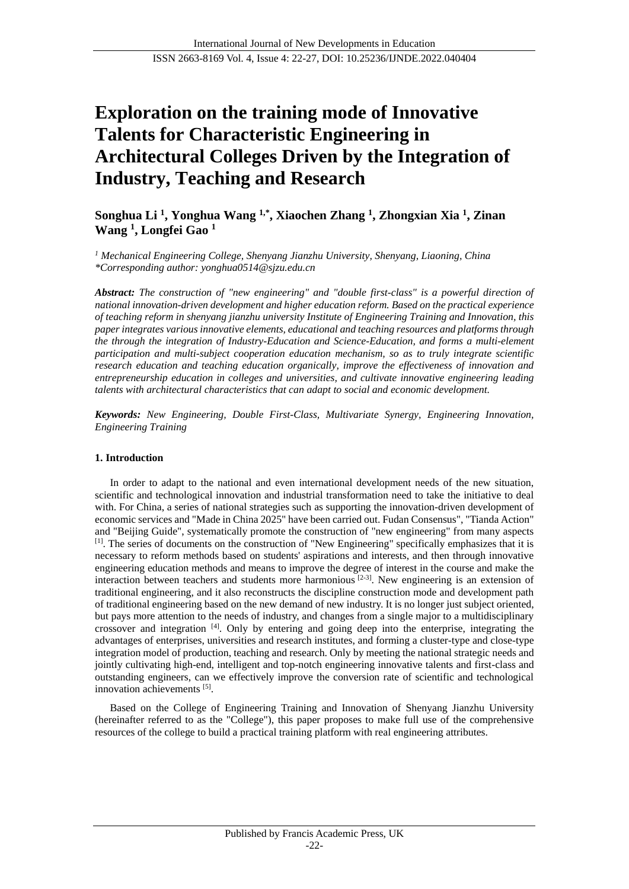# **Exploration on the training mode of Innovative Talents for Characteristic Engineering in Architectural Colleges Driven by the Integration of Industry, Teaching and Research**

**Songhua Li <sup>1</sup> , Yonghua Wang 1,\* , Xiaochen Zhang <sup>1</sup> , Zhongxian Xia <sup>1</sup> , Zinan Wang <sup>1</sup> , Longfei Gao <sup>1</sup>**

*<sup>1</sup> Mechanical Engineering College, Shenyang Jianzhu University, Shenyang, Liaoning, China \*Corresponding author: yonghua0514@sjzu.edu.cn*

*Abstract: The construction of "new engineering" and "double first-class" is a powerful direction of national innovation-driven development and higher education reform. Based on the practical experience of teaching reform in shenyang jianzhu university Institute of Engineering Training and Innovation, this paper integrates various innovative elements, educational and teaching resources and platforms through the through the integration of Industry-Education and Science-Education, and forms a multi-element participation and multi-subject cooperation education mechanism, so as to truly integrate scientific research education and teaching education organically, improve the effectiveness of innovation and entrepreneurship education in colleges and universities, and cultivate innovative engineering leading talents with architectural characteristics that can adapt to social and economic development.*

*Keywords: New Engineering, Double First-Class, Multivariate Synergy, Engineering Innovation, Engineering Training*

# **1. Introduction**

In order to adapt to the national and even international development needs of the new situation, scientific and technological innovation and industrial transformation need to take the initiative to deal with. For China, a series of national strategies such as supporting the innovation-driven development of economic services and "Made in China 2025" have been carried out. Fudan Consensus", "Tianda Action" and "Beijing Guide", systematically promote the construction of "new engineering" from many aspects [1]. The series of documents on the construction of "New Engineering" specifically emphasizes that it is necessary to reform methods based on students' aspirations and interests, and then through innovative engineering education methods and means to improve the degree of interest in the course and make the interaction between teachers and students more harmonious  $[2-3]$ . New engineering is an extension of traditional engineering, and it also reconstructs the discipline construction mode and development path of traditional engineering based on the new demand of new industry. It is no longer just subject oriented, but pays more attention to the needs of industry, and changes from a single major to a multidisciplinary crossover and integration [4]. Only by entering and going deep into the enterprise, integrating the advantages of enterprises, universities and research institutes, and forming a cluster-type and close-type integration model of production, teaching and research. Only by meeting the national strategic needs and jointly cultivating high-end, intelligent and top-notch engineering innovative talents and first-class and outstanding engineers, can we effectively improve the conversion rate of scientific and technological innovation achievements [5].

Based on the College of Engineering Training and Innovation of Shenyang Jianzhu University (hereinafter referred to as the "College"), this paper proposes to make full use of the comprehensive resources of the college to build a practical training platform with real engineering attributes.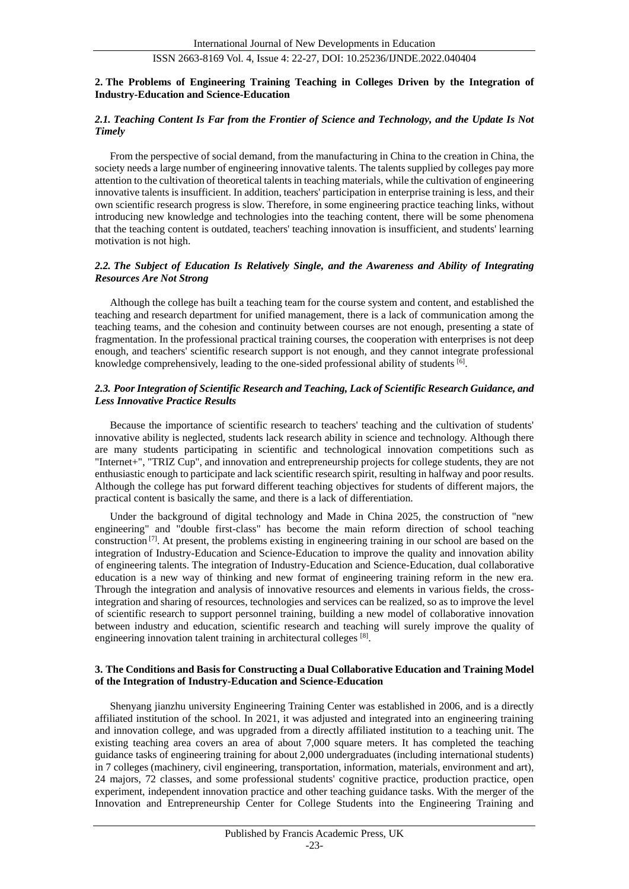# **2. The Problems of Engineering Training Teaching in Colleges Driven by the Integration of Industry-Education and Science-Education**

## *2.1. Teaching Content Is Far from the Frontier of Science and Technology, and the Update Is Not Timely*

From the perspective of social demand, from the manufacturing in China to the creation in China, the society needs a large number of engineering innovative talents. The talents supplied by colleges pay more attention to the cultivation of theoretical talents in teaching materials, while the cultivation of engineering innovative talents is insufficient. In addition, teachers' participation in enterprise training is less, and their own scientific research progress is slow. Therefore, in some engineering practice teaching links, without introducing new knowledge and technologies into the teaching content, there will be some phenomena that the teaching content is outdated, teachers' teaching innovation is insufficient, and students' learning motivation is not high.

#### *2.2. The Subject of Education Is Relatively Single, and the Awareness and Ability of Integrating Resources Are Not Strong*

Although the college has built a teaching team for the course system and content, and established the teaching and research department for unified management, there is a lack of communication among the teaching teams, and the cohesion and continuity between courses are not enough, presenting a state of fragmentation. In the professional practical training courses, the cooperation with enterprises is not deep enough, and teachers' scientific research support is not enough, and they cannot integrate professional knowledge comprehensively, leading to the one-sided professional ability of students [6].

# *2.3. Poor Integration of Scientific Research and Teaching, Lack of Scientific Research Guidance, and Less Innovative Practice Results*

Because the importance of scientific research to teachers' teaching and the cultivation of students' innovative ability is neglected, students lack research ability in science and technology. Although there are many students participating in scientific and technological innovation competitions such as "Internet+", "TRIZ Cup", and innovation and entrepreneurship projects for college students, they are not enthusiastic enough to participate and lack scientific research spirit, resulting in halfway and poor results. Although the college has put forward different teaching objectives for students of different majors, the practical content is basically the same, and there is a lack of differentiation.

Under the background of digital technology and Made in China 2025, the construction of "new engineering" and "double first-class" has become the main reform direction of school teaching construction  $\left[7\right]$ . At present, the problems existing in engineering training in our school are based on the integration of Industry-Education and Science-Education to improve the quality and innovation ability of engineering talents. The integration of Industry-Education and Science-Education, dual collaborative education is a new way of thinking and new format of engineering training reform in the new era. Through the integration and analysis of innovative resources and elements in various fields, the crossintegration and sharing of resources, technologies and services can be realized, so as to improve the level of scientific research to support personnel training, building a new model of collaborative innovation between industry and education, scientific research and teaching will surely improve the quality of engineering innovation talent training in architectural colleges [8].

#### **3. The Conditions and Basis for Constructing a Dual Collaborative Education and Training Model of the Integration of Industry-Education and Science-Education**

Shenyang jianzhu university Engineering Training Center was established in 2006, and is a directly affiliated institution of the school. In 2021, it was adjusted and integrated into an engineering training and innovation college, and was upgraded from a directly affiliated institution to a teaching unit. The existing teaching area covers an area of about 7,000 square meters. It has completed the teaching guidance tasks of engineering training for about 2,000 undergraduates (including international students) in 7 colleges (machinery, civil engineering, transportation, information, materials, environment and art), 24 majors, 72 classes, and some professional students' cognitive practice, production practice, open experiment, independent innovation practice and other teaching guidance tasks. With the merger of the Innovation and Entrepreneurship Center for College Students into the Engineering Training and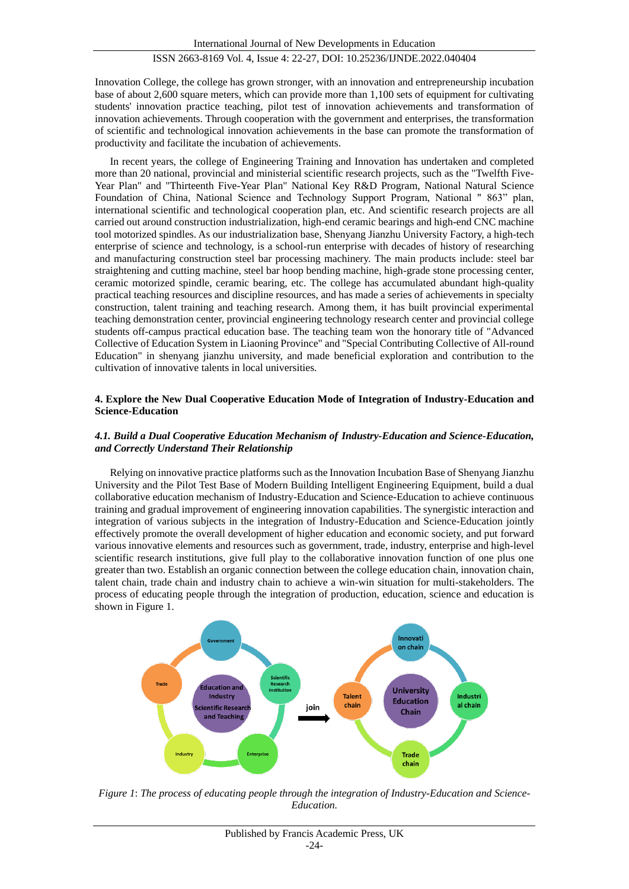Innovation College, the college has grown stronger, with an innovation and entrepreneurship incubation base of about 2,600 square meters, which can provide more than 1,100 sets of equipment for cultivating students' innovation practice teaching, pilot test of innovation achievements and transformation of innovation achievements. Through cooperation with the government and enterprises, the transformation of scientific and technological innovation achievements in the base can promote the transformation of productivity and facilitate the incubation of achievements.

In recent years, the college of Engineering Training and Innovation has undertaken and completed more than 20 national, provincial and ministerial scientific research projects, such as the "Twelfth Five-Year Plan" and "Thirteenth Five-Year Plan" National Key R&D Program, National Natural Science Foundation of China, National Science and Technology Support Program, National " 863" plan, international scientific and technological cooperation plan, etc. And scientific research projects are all carried out around construction industrialization, high-end ceramic bearings and high-end CNC machine tool motorized spindles. As our industrialization base, Shenyang Jianzhu University Factory, a high-tech enterprise of science and technology, is a school-run enterprise with decades of history of researching and manufacturing construction steel bar processing machinery. The main products include: steel bar straightening and cutting machine, steel bar hoop bending machine, high-grade stone processing center, ceramic motorized spindle, ceramic bearing, etc. The college has accumulated abundant high-quality practical teaching resources and discipline resources, and has made a series of achievements in specialty construction, talent training and teaching research. Among them, it has built provincial experimental teaching demonstration center, provincial engineering technology research center and provincial college students off-campus practical education base. The teaching team won the honorary title of "Advanced Collective of Education System in Liaoning Province" and "Special Contributing Collective of All-round Education" in shenyang jianzhu university, and made beneficial exploration and contribution to the cultivation of innovative talents in local universities.

#### **4. Explore the New Dual Cooperative Education Mode of Integration of Industry-Education and Science-Education**

## *4.1. Build a Dual Cooperative Education Mechanism of Industry-Education and Science-Education, and Correctly Understand Their Relationship*

Relying on innovative practice platforms such as the Innovation Incubation Base of Shenyang Jianzhu University and the Pilot Test Base of Modern Building Intelligent Engineering Equipment, build a dual collaborative education mechanism of Industry-Education and Science-Education to achieve continuous training and gradual improvement of engineering innovation capabilities. The synergistic interaction and integration of various subjects in the integration of Industry-Education and Science-Education jointly effectively promote the overall development of higher education and economic society, and put forward various innovative elements and resources such as government, trade, industry, enterprise and high-level scientific research institutions, give full play to the collaborative innovation function of one plus one greater than two. Establish an organic connection between the college education chain, innovation chain, talent chain, trade chain and industry chain to achieve a win-win situation for multi-stakeholders. The process of educating people through the integration of production, education, science and education is shown in Figure 1.



*Figure 1*: *The process of educating people through the integration of Industry-Education and Science-Education.*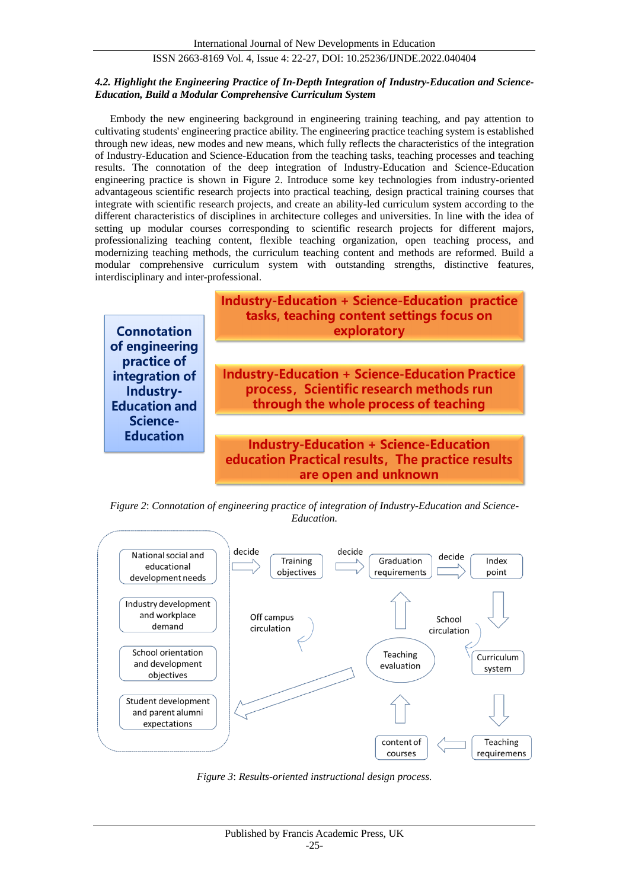#### *4.2. Highlight the Engineering Practice of In-Depth Integration of Industry-Education and Science-Education, Build a Modular Comprehensive Curriculum System*

Embody the new engineering background in engineering training teaching, and pay attention to cultivating students' engineering practice ability. The engineering practice teaching system is established through new ideas, new modes and new means, which fully reflects the characteristics of the integration of Industry-Education and Science-Education from the teaching tasks, teaching processes and teaching results. The connotation of the deep integration of Industry-Education and Science-Education engineering practice is shown in Figure 2. Introduce some key technologies from industry-oriented advantageous scientific research projects into practical teaching, design practical training courses that integrate with scientific research projects, and create an ability-led curriculum system according to the different characteristics of disciplines in architecture colleges and universities. In line with the idea of setting up modular courses corresponding to scientific research projects for different majors, professionalizing teaching content, flexible teaching organization, open teaching process, and modernizing teaching methods, the curriculum teaching content and methods are reformed. Build a modular comprehensive curriculum system with outstanding strengths, distinctive features, interdisciplinary and inter-professional.



*Figure 2*: *Connotation of engineering practice of integration of Industry-Education and Science-Education.*



*Figure 3*: *Results-oriented instructional design process.*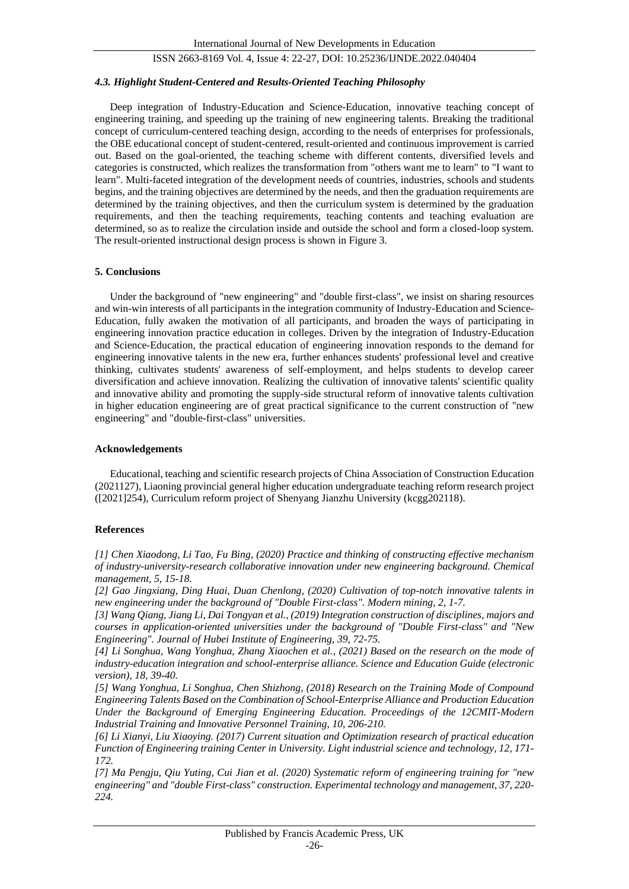#### *4.3. Highlight Student-Centered and Results-Oriented Teaching Philosophy*

Deep integration of Industry-Education and Science-Education, innovative teaching concept of engineering training, and speeding up the training of new engineering talents. Breaking the traditional concept of curriculum-centered teaching design, according to the needs of enterprises for professionals, the OBE educational concept of student-centered, result-oriented and continuous improvement is carried out. Based on the goal-oriented, the teaching scheme with different contents, diversified levels and categories is constructed, which realizes the transformation from "others want me to learn" to "I want to learn". Multi-faceted integration of the development needs of countries, industries, schools and students begins, and the training objectives are determined by the needs, and then the graduation requirements are determined by the training objectives, and then the curriculum system is determined by the graduation requirements, and then the teaching requirements, teaching contents and teaching evaluation are determined, so as to realize the circulation inside and outside the school and form a closed-loop system. The result-oriented instructional design process is shown in Figure 3.

#### **5. Conclusions**

Under the background of "new engineering" and "double first-class", we insist on sharing resources and win-win interests of all participants in the integration community of Industry-Education and Science-Education, fully awaken the motivation of all participants, and broaden the ways of participating in engineering innovation practice education in colleges. Driven by the integration of Industry-Education and Science-Education, the practical education of engineering innovation responds to the demand for engineering innovative talents in the new era, further enhances students' professional level and creative thinking, cultivates students' awareness of self-employment, and helps students to develop career diversification and achieve innovation. Realizing the cultivation of innovative talents' scientific quality and innovative ability and promoting the supply-side structural reform of innovative talents cultivation in higher education engineering are of great practical significance to the current construction of "new engineering" and "double-first-class" universities.

#### **Acknowledgements**

Educational, teaching and scientific research projects of China Association of Construction Education (2021127), Liaoning provincial general higher education undergraduate teaching reform research project ([2021]254), Curriculum reform project of Shenyang Jianzhu University (kcgg202118).

#### **References**

*[1] Chen Xiaodong, Li Tao, Fu Bing, (2020) Practice and thinking of constructing effective mechanism of industry-university-research collaborative innovation under new engineering background. Chemical management, 5, 15-18.*

*[2] Gao Jingxiang, Ding Huai, Duan Chenlong, (2020) Cultivation of top-notch innovative talents in new engineering under the background of "Double First-class". Modern mining, 2, 1-7.*

*[3] Wang Qiang, Jiang Li, Dai Tongyan et al., (2019) Integration construction of disciplines, majors and courses in application-oriented universities under the background of "Double First-class" and "New Engineering". Journal of Hubei Institute of Engineering, 39, 72-75.*

*[4] Li Songhua, Wang Yonghua, Zhang Xiaochen et al., (2021) Based on the research on the mode of industry-education integration and school-enterprise alliance. Science and Education Guide (electronic version), 18, 39-40.*

*[5] Wang Yonghua, Li Songhua, Chen Shizhong, (2018) Research on the Training Mode of Compound Engineering Talents Based on the Combination of School-Enterprise Alliance and Production Education Under the Background of Emerging Engineering Education. Proceedings of the 12CMIT-Modern Industrial Training and Innovative Personnel Training, 10, 206-210.*

*[6] Li Xianyi, Liu Xiaoying. (2017) Current situation and Optimization research of practical education Function of Engineering training Center in University. Light industrial science and technology, 12, 171- 172.*

*[7] Ma Pengju, Qiu Yuting, Cui Jian et al. (2020) Systematic reform of engineering training for "new engineering" and "double First-class" construction. Experimental technology and management, 37, 220- 224.*